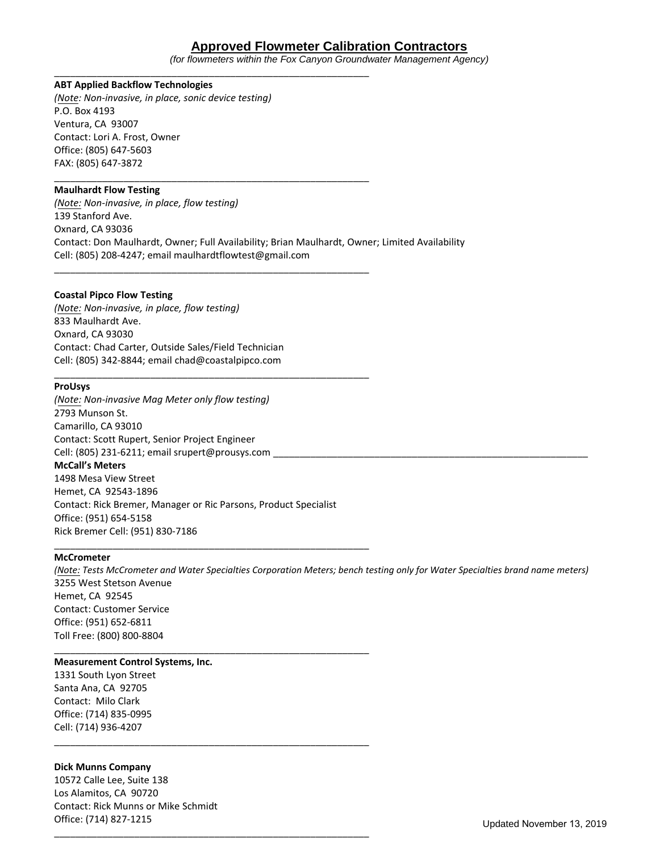# **Approved Flowmeter Calibration Contractors**

*(for flowmeters within the Fox Canyon Groundwater Management Agency)*

## **ABT Applied Backflow Technologies**

*(Note: Non-invasive, in place, sonic device testing)* P.O. Box 4193 Ventura, CA 93007 Contact: Lori A. Frost, Owner Office: (805) 647-5603 FAX: (805) 647-3872

\_\_\_\_\_\_\_\_\_\_\_\_\_\_\_\_\_\_\_\_\_\_\_\_\_\_\_\_\_\_\_\_\_\_\_\_\_\_\_\_\_\_\_\_\_\_\_\_\_\_\_\_\_\_\_\_\_\_\_

\_\_\_\_\_\_\_\_\_\_\_\_\_\_\_\_\_\_\_\_\_\_\_\_\_\_\_\_\_\_\_\_\_\_\_\_\_\_\_\_\_\_\_\_\_\_\_\_\_\_\_\_\_\_\_\_\_\_\_

\_\_\_\_\_\_\_\_\_\_\_\_\_\_\_\_\_\_\_\_\_\_\_\_\_\_\_\_\_\_\_\_\_\_\_\_\_\_\_\_\_\_\_\_\_\_\_\_\_\_\_\_\_\_\_\_\_\_\_

\_\_\_\_\_\_\_\_\_\_\_\_\_\_\_\_\_\_\_\_\_\_\_\_\_\_\_\_\_\_\_\_\_\_\_\_\_\_\_\_\_\_\_\_\_\_\_\_\_\_\_\_\_\_\_\_\_\_\_

### **Maulhardt Flow Testing**

*(Note: Non-invasive, in place, flow testing)* 139 Stanford Ave. Oxnard, CA 93036 Contact: Don Maulhardt, Owner; Full Availability; Brian Maulhardt, Owner; Limited Availability Cell: (805) 208-4247; email maulhardtflowtest@gmail.com

#### **Coastal Pipco Flow Testing**

*(Note: Non-invasive, in place, flow testing)*  833 Maulhardt Ave. Oxnard, CA 93030 Contact: Chad Carter, Outside Sales/Field Technician Cell: (805) 342-8844; email chad@coastalpipco.com

#### **ProUsys**

*(Note: Non-invasive Mag Meter only flow testing)*  2793 Munson St. Camarillo, CA 93010 Contact: Scott Rupert, Senior Project Engineer Cell: (805) 231-6211; email srupert@prousys.com \_ **McCall's Meters**

1498 Mesa View Street Hemet, CA 92543-1896 Contact: Rick Bremer, Manager or Ric Parsons, Product Specialist Office: (951) 654-5158 Rick Bremer Cell: (951) 830-7186

\_\_\_\_\_\_\_\_\_\_\_\_\_\_\_\_\_\_\_\_\_\_\_\_\_\_\_\_\_\_\_\_\_\_\_\_\_\_\_\_\_\_\_\_\_\_\_\_\_\_\_\_\_\_\_\_\_\_\_

\_\_\_\_\_\_\_\_\_\_\_\_\_\_\_\_\_\_\_\_\_\_\_\_\_\_\_\_\_\_\_\_\_\_\_\_\_\_\_\_\_\_\_\_\_\_\_\_\_\_\_\_\_\_\_\_\_\_\_

\_\_\_\_\_\_\_\_\_\_\_\_\_\_\_\_\_\_\_\_\_\_\_\_\_\_\_\_\_\_\_\_\_\_\_\_\_\_\_\_\_\_\_\_\_\_\_\_\_\_\_\_\_\_\_\_\_\_\_

\_\_\_\_\_\_\_\_\_\_\_\_\_\_\_\_\_\_\_\_\_\_\_\_\_\_\_\_\_\_\_\_\_\_\_\_\_\_\_\_\_\_\_\_\_\_\_\_\_\_\_\_\_\_\_\_\_\_\_

#### **McCrometer**

*(Note: Tests McCrometer and Water Specialties Corporation Meters; bench testing only for Water Specialties brand name meters)* 3255 West Stetson Avenue Hemet, CA 92545 Contact: Customer Service Office: (951) 652-6811 Toll Free: (800) 800-8804

### **Measurement Control Systems, Inc.**

1331 South Lyon Street Santa Ana, CA 92705 Contact: Milo Clark Office: (714) 835-0995 Cell: (714) 936-4207

#### **Dick Munns Company**

10572 Calle Lee, Suite 138 Los Alamitos, CA 90720 Contact: Rick Munns or Mike Schmidt Office: (714) 827-1215